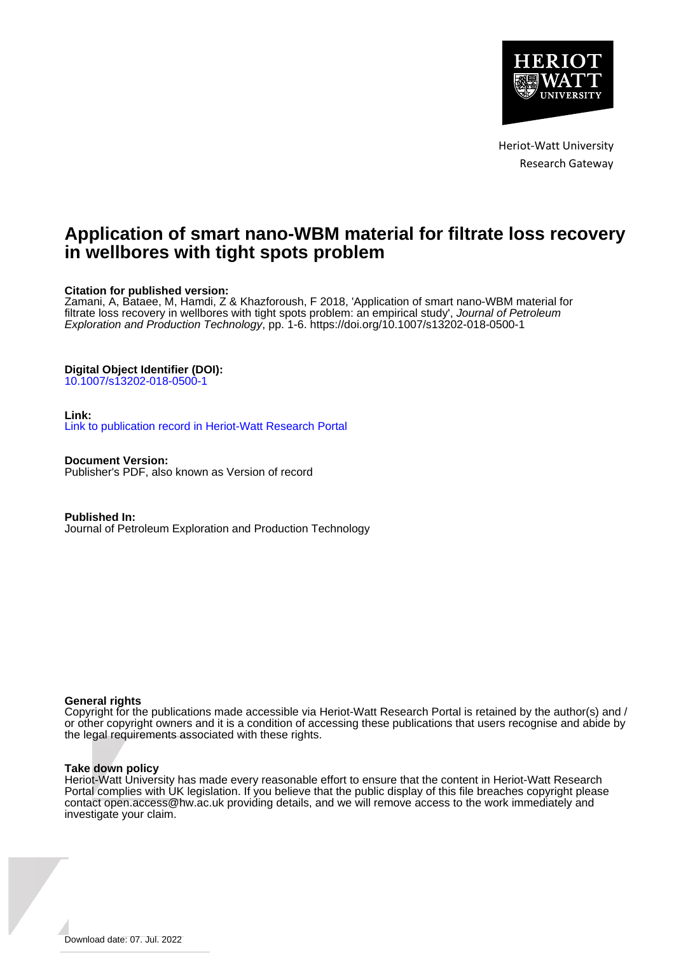

Heriot-Watt University Research Gateway

# **Application of smart nano-WBM material for filtrate loss recovery in wellbores with tight spots problem**

# **Citation for published version:**

Zamani, A, Bataee, M, Hamdi, Z & Khazforoush, F 2018, 'Application of smart nano-WBM material for filtrate loss recovery in wellbores with tight spots problem: an empirical study', Journal of Petroleum Exploration and Production Technology, pp. 1-6. <https://doi.org/10.1007/s13202-018-0500-1>

# **Digital Object Identifier (DOI):**

[10.1007/s13202-018-0500-1](https://doi.org/10.1007/s13202-018-0500-1)

### **Link:**

[Link to publication record in Heriot-Watt Research Portal](https://researchportal.hw.ac.uk/en/publications/b39ebb90-aa5d-4a0f-8d2f-2d4b5ac95d1f)

**Document Version:** Publisher's PDF, also known as Version of record

**Published In:** Journal of Petroleum Exploration and Production Technology

### **General rights**

Copyright for the publications made accessible via Heriot-Watt Research Portal is retained by the author(s) and / or other copyright owners and it is a condition of accessing these publications that users recognise and abide by the legal requirements associated with these rights.

### **Take down policy**

Heriot-Watt University has made every reasonable effort to ensure that the content in Heriot-Watt Research Portal complies with UK legislation. If you believe that the public display of this file breaches copyright please contact open.access@hw.ac.uk providing details, and we will remove access to the work immediately and investigate your claim.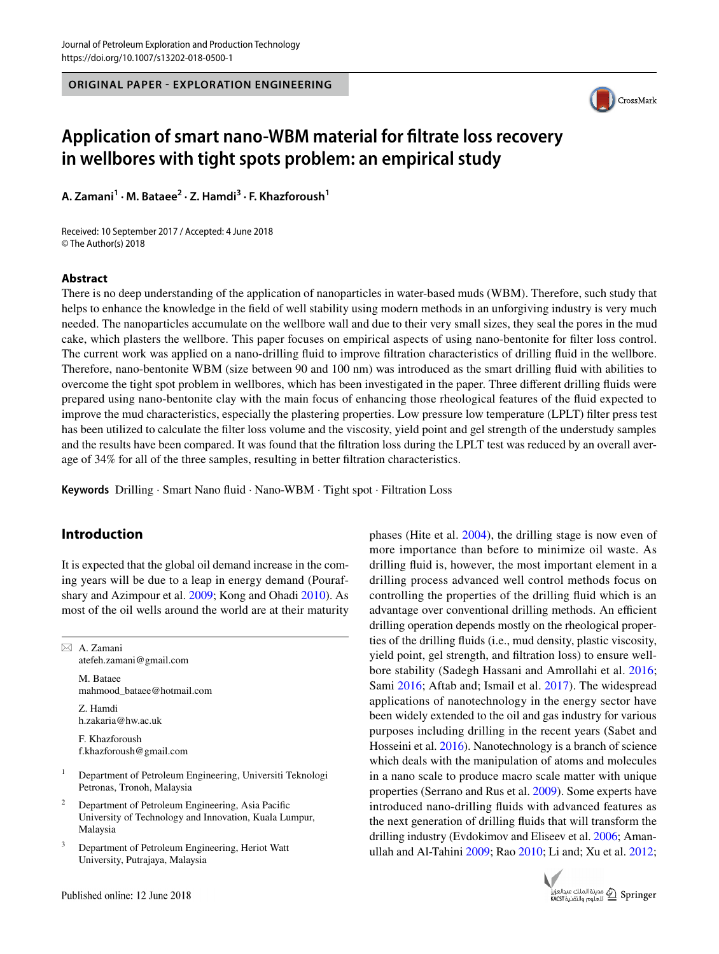**ORIGINAL PAPER - EXPLORATION ENGINEERING**



# **Application of smart nano-WBM material for filtrate loss recovery in wellbores with tight spots problem: an empirical study**

**A. Zamani1 · M. Bataee2 · Z. Hamdi3 · F. Khazforoush1**

Received: 10 September 2017 / Accepted: 4 June 2018 © The Author(s) 2018

### **Abstract**

There is no deep understanding of the application of nanoparticles in water-based muds (WBM). Therefore, such study that helps to enhance the knowledge in the field of well stability using modern methods in an unforgiving industry is very much needed. The nanoparticles accumulate on the wellbore wall and due to their very small sizes, they seal the pores in the mud cake, which plasters the wellbore. This paper focuses on empirical aspects of using nano-bentonite for filter loss control. The current work was applied on a nano-drilling fluid to improve filtration characteristics of drilling fluid in the wellbore. Therefore, nano-bentonite WBM (size between 90 and 100 nm) was introduced as the smart drilling fluid with abilities to overcome the tight spot problem in wellbores, which has been investigated in the paper. Three different drilling fluids were prepared using nano-bentonite clay with the main focus of enhancing those rheological features of the fluid expected to improve the mud characteristics, especially the plastering properties. Low pressure low temperature (LPLT) filter press test has been utilized to calculate the filter loss volume and the viscosity, yield point and gel strength of the understudy samples and the results have been compared. It was found that the filtration loss during the LPLT test was reduced by an overall average of 34% for all of the three samples, resulting in better filtration characteristics.

**Keywords** Drilling · Smart Nano fluid · Nano-WBM · Tight spot · Filtration Loss

# **Introduction**

It is expected that the global oil demand increase in the coming years will be due to a leap in energy demand (Pourafshary and Azimpour et al. [2009;](#page-6-0) Kong and Ohadi [2010\)](#page-6-1). As most of the oil wells around the world are at their maturity

 $\boxtimes$  A. Zamani atefeh.zamani@gmail.com M. Bataee mahmood\_bataee@hotmail.com Z. Hamdi h.zakaria@hw.ac.uk F. Khazforoush f.khazforoush@gmail.com <sup>1</sup> Department of Petroleum Engineering, Universiti Teknologi

- Petronas, Tronoh, Malaysia
- <sup>2</sup> Department of Petroleum Engineering, Asia Pacific University of Technology and Innovation, Kuala Lumpur, Malaysia
- <sup>3</sup> Department of Petroleum Engineering, Heriot Watt University, Putrajaya, Malaysia

phases (Hite et al. [2004](#page-6-2)), the drilling stage is now even of more importance than before to minimize oil waste. As drilling fluid is, however, the most important element in a drilling process advanced well control methods focus on controlling the properties of the drilling fluid which is an advantage over conventional drilling methods. An efficient drilling operation depends mostly on the rheological properties of the drilling fluids (i.e., mud density, plastic viscosity, yield point, gel strength, and filtration loss) to ensure wellbore stability (Sadegh Hassani and Amrollahi et al. [2016](#page-6-3); Sami [2016;](#page-6-4) Aftab and; Ismail et al. [2017](#page-5-0)). The widespread applications of nanotechnology in the energy sector have been widely extended to the oil and gas industry for various purposes including drilling in the recent years (Sabet and Hosseini et al. [2016](#page-6-5)). Nanotechnology is a branch of science which deals with the manipulation of atoms and molecules in a nano scale to produce macro scale matter with unique properties (Serrano and Rus et al. [2009\)](#page-6-6). Some experts have introduced nano-drilling fluids with advanced features as the next generation of drilling fluids that will transform the drilling industry (Evdokimov and Eliseev et al. [2006;](#page-6-7) Amanullah and Al-Tahini [2009](#page-6-8); Rao [2010;](#page-6-9) Li and; Xu et al. [2012](#page-6-10);

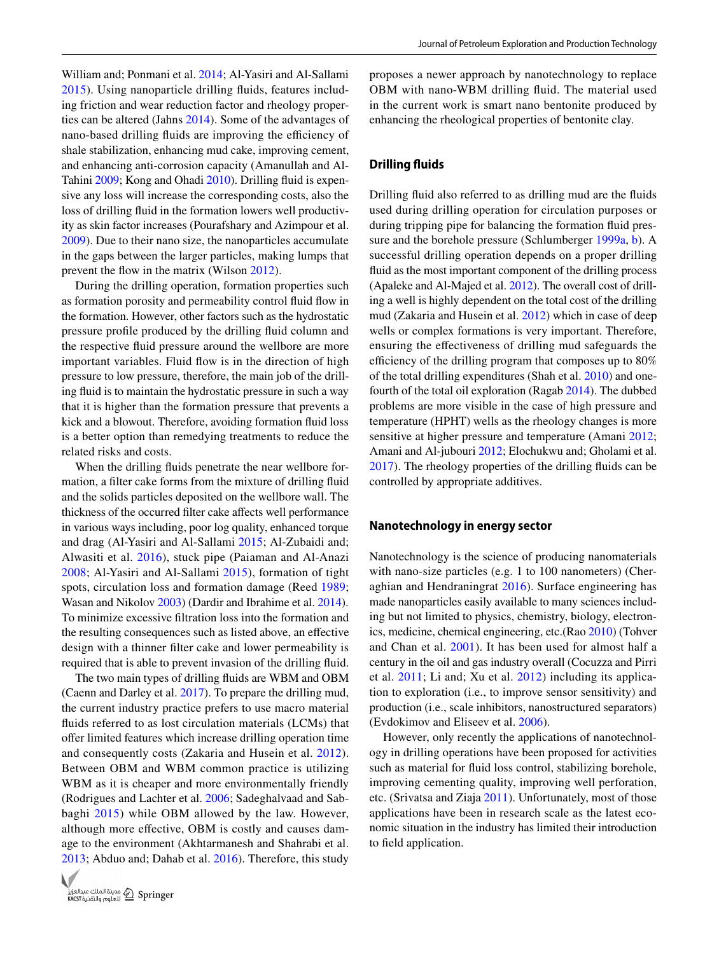William and; Ponmani et al. [2014;](#page-6-11) Al-Yasiri and Al-Sallami [2015\)](#page-5-1). Using nanoparticle drilling fluids, features including friction and wear reduction factor and rheology properties can be altered (Jahns [2014](#page-6-12)). Some of the advantages of nano-based drilling fluids are improving the efficiency of shale stabilization, enhancing mud cake, improving cement, and enhancing anti-corrosion capacity (Amanullah and Al-Tahini [2009;](#page-6-8) Kong and Ohadi [2010](#page-6-1)). Drilling fluid is expensive any loss will increase the corresponding costs, also the loss of drilling fluid in the formation lowers well productivity as skin factor increases (Pourafshary and Azimpour et al. [2009](#page-6-0)). Due to their nano size, the nanoparticles accumulate in the gaps between the larger particles, making lumps that prevent the flow in the matrix (Wilson [2012\)](#page-6-13).

During the drilling operation, formation properties such as formation porosity and permeability control fluid flow in the formation. However, other factors such as the hydrostatic pressure profile produced by the drilling fluid column and the respective fluid pressure around the wellbore are more important variables. Fluid flow is in the direction of high pressure to low pressure, therefore, the main job of the drilling fluid is to maintain the hydrostatic pressure in such a way that it is higher than the formation pressure that prevents a kick and a blowout. Therefore, avoiding formation fluid loss is a better option than remedying treatments to reduce the related risks and costs.

When the drilling fluids penetrate the near wellbore formation, a filter cake forms from the mixture of drilling fluid and the solids particles deposited on the wellbore wall. The thickness of the occurred filter cake affects well performance in various ways including, poor log quality, enhanced torque and drag (Al-Yasiri and Al-Sallami [2015;](#page-5-1) Al-Zubaidi and; Alwasiti et al. [2016](#page-5-2)), stuck pipe (Paiaman and Al-Anazi [2008;](#page-6-14) Al-Yasiri and Al-Sallami [2015](#page-5-1)), formation of tight spots, circulation loss and formation damage (Reed [1989](#page-6-15); Wasan and Nikolov [2003\)](#page-6-16) (Dardir and Ibrahime et al. [2014](#page-6-17)). To minimize excessive filtration loss into the formation and the resulting consequences such as listed above, an effective design with a thinner filter cake and lower permeability is required that is able to prevent invasion of the drilling fluid.

The two main types of drilling fluids are WBM and OBM (Caenn and Darley et al. [2017](#page-6-18)). To prepare the drilling mud, the current industry practice prefers to use macro material fluids referred to as lost circulation materials (LCMs) that offer limited features which increase drilling operation time and consequently costs (Zakaria and Husein et al. [2012](#page-6-19)). Between OBM and WBM common practice is utilizing WBM as it is cheaper and more environmentally friendly (Rodrigues and Lachter et al. [2006](#page-6-20); Sadeghalvaad and Sabbaghi [2015](#page-6-21)) while OBM allowed by the law. However, although more effective, OBM is costly and causes damage to the environment (Akhtarmanesh and Shahrabi et al. [2013](#page-5-3); Abduo and; Dahab et al. [2016](#page-5-4)). Therefore, this study



proposes a newer approach by nanotechnology to replace OBM with nano-WBM drilling fluid. The material used in the current work is smart nano bentonite produced by enhancing the rheological properties of bentonite clay.

# **Drilling fluids**

Drilling fluid also referred to as drilling mud are the fluids used during drilling operation for circulation purposes or during tripping pipe for balancing the formation fluid pressure and the borehole pressure (Schlumberger [1999a](#page-6-22), [b\)](#page-6-23). A successful drilling operation depends on a proper drilling fluid as the most important component of the drilling process (Apaleke and Al-Majed et al. [2012\)](#page-6-24). The overall cost of drilling a well is highly dependent on the total cost of the drilling mud (Zakaria and Husein et al. [2012](#page-6-19)) which in case of deep wells or complex formations is very important. Therefore, ensuring the effectiveness of drilling mud safeguards the efficiency of the drilling program that composes up to 80% of the total drilling expenditures (Shah et al. [2010](#page-6-25)) and onefourth of the total oil exploration (Ragab [2014\)](#page-6-26). The dubbed problems are more visible in the case of high pressure and temperature (HPHT) wells as the rheology changes is more sensitive at higher pressure and temperature (Amani [2012](#page-5-5); Amani and Al-jubouri [2012](#page-5-6); Elochukwu and; Gholami et al. [2017](#page-6-27)). The rheology properties of the drilling fluids can be controlled by appropriate additives.

# **Nanotechnology in energy sector**

Nanotechnology is the science of producing nanomaterials with nano-size particles (e.g. 1 to 100 nanometers) (Cheraghian and Hendraningrat [2016](#page-6-28)). Surface engineering has made nanoparticles easily available to many sciences including but not limited to physics, chemistry, biology, electronics, medicine, chemical engineering, etc.(Rao [2010](#page-6-9)) (Tohver and Chan et al. [2001\)](#page-6-29). It has been used for almost half a century in the oil and gas industry overall (Cocuzza and Pirri et al. [2011](#page-6-30); Li and; Xu et al. [2012](#page-6-10)) including its application to exploration (i.e., to improve sensor sensitivity) and production (i.e., scale inhibitors, nanostructured separators) (Evdokimov and Eliseev et al. [2006](#page-6-7)).

However, only recently the applications of nanotechnology in drilling operations have been proposed for activities such as material for fluid loss control, stabilizing borehole, improving cementing quality, improving well perforation, etc. (Srivatsa and Ziaja [2011](#page-6-31)). Unfortunately, most of those applications have been in research scale as the latest economic situation in the industry has limited their introduction to field application.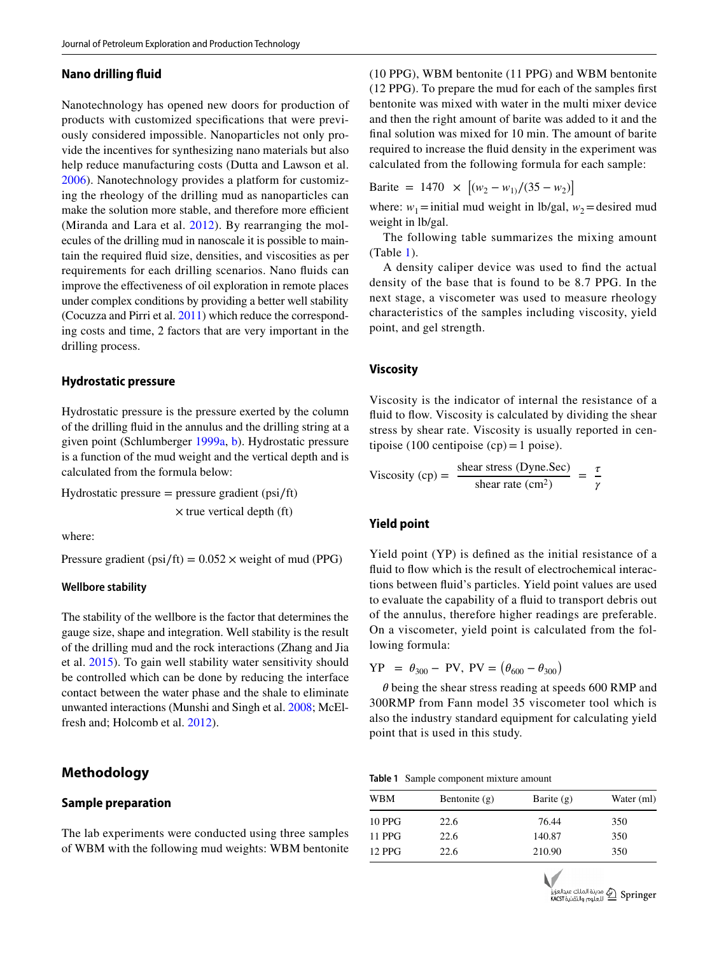#### **Nano drilling fluid**

Nanotechnology has opened new doors for production of products with customized specifications that were previously considered impossible. Nanoparticles not only provide the incentives for synthesizing nano materials but also help reduce manufacturing costs (Dutta and Lawson et al. [2006\)](#page-6-32). Nanotechnology provides a platform for customizing the rheology of the drilling mud as nanoparticles can make the solution more stable, and therefore more efficient (Miranda and Lara et al. [2012\)](#page-6-33). By rearranging the molecules of the drilling mud in nanoscale it is possible to maintain the required fluid size, densities, and viscosities as per requirements for each drilling scenarios. Nano fluids can improve the effectiveness of oil exploration in remote places under complex conditions by providing a better well stability (Cocuzza and Pirri et al. [2011\)](#page-6-30) which reduce the corresponding costs and time, 2 factors that are very important in the drilling process.

#### **Hydrostatic pressure**

Hydrostatic pressure is the pressure exerted by the column of the drilling fluid in the annulus and the drilling string at a given point (Schlumberger [1999a,](#page-6-22) [b\)](#page-6-23). Hydrostatic pressure is a function of the mud weight and the vertical depth and is calculated from the formula below:

Hydrostatic pressure = pressure gradient  $(psi/ft)$  $\times$  true vertical depth (ft)

where:

Pressure gradient (psi/ft) =  $0.052 \times$  weight of mud (PPG)

#### **Wellbore stability**

The stability of the wellbore is the factor that determines the gauge size, shape and integration. Well stability is the result of the drilling mud and the rock interactions (Zhang and Jia et al. [2015](#page-6-34)). To gain well stability water sensitivity should be controlled which can be done by reducing the interface contact between the water phase and the shale to eliminate unwanted interactions (Munshi and Singh et al. [2008;](#page-6-35) McElfresh and; Holcomb et al. [2012\)](#page-6-36).

# **Methodology**

#### **Sample preparation**

The lab experiments were conducted using three samples of WBM with the following mud weights: WBM bentonite

(10 PPG), WBM bentonite (11 PPG) and WBM bentonite (12 PPG). To prepare the mud for each of the samples first bentonite was mixed with water in the multi mixer device and then the right amount of barite was added to it and the final solution was mixed for 10 min. The amount of barite required to increase the fluid density in the experiment was calculated from the following formula for each sample:

Barite = 1470  $\times$   $[(w_2 - w_1)/(35 - w_2)]$ 

where:  $w_1$  = initial mud weight in lb/gal,  $w_2$  = desired mud weight in lb/gal.

The following table summarizes the mixing amount (Table [1\)](#page-3-0).

A density caliper device was used to find the actual density of the base that is found to be 8.7 PPG. In the next stage, a viscometer was used to measure rheology characteristics of the samples including viscosity, yield point, and gel strength.

# **Viscosity**

Viscosity is the indicator of internal the resistance of a fluid to flow. Viscosity is calculated by dividing the shear stress by shear rate. Viscosity is usually reported in centipoise (100 centipoise (cp) = 1 poise).

Viscosity (cp) = 
$$
\frac{\text{shear stress (Dyne.Sec)}}{\text{shear rate (cm}^2)} = \frac{\tau}{\gamma}
$$

#### **Yield point**

Yield point (YP) is defined as the initial resistance of a fluid to flow which is the result of electrochemical interactions between fluid's particles. Yield point values are used to evaluate the capability of a fluid to transport debris out of the annulus, therefore higher readings are preferable. On a viscometer, yield point is calculated from the following formula:

$$
YP = \theta_{300} - PV, PV = (\theta_{600} - \theta_{300})
$$

 $\theta$  being the shear stress reading at speeds 600 RMP and 300RMP from Fann model 35 viscometer tool which is also the industry standard equipment for calculating yield point that is used in this study.

<span id="page-3-0"></span>**Table 1** Sample component mixture amount

| <b>WBM</b> | Bentonite $(g)$ | Barite $(g)$ | Water (ml) |  |  |
|------------|-----------------|--------------|------------|--|--|
| 10 PPG     | 22.6            | 76.44        | 350        |  |  |
| 11 PPG     | 22.6            | 140.87       | 350        |  |  |
| 12 PPG     | 22.6            | 210.90       | 350        |  |  |

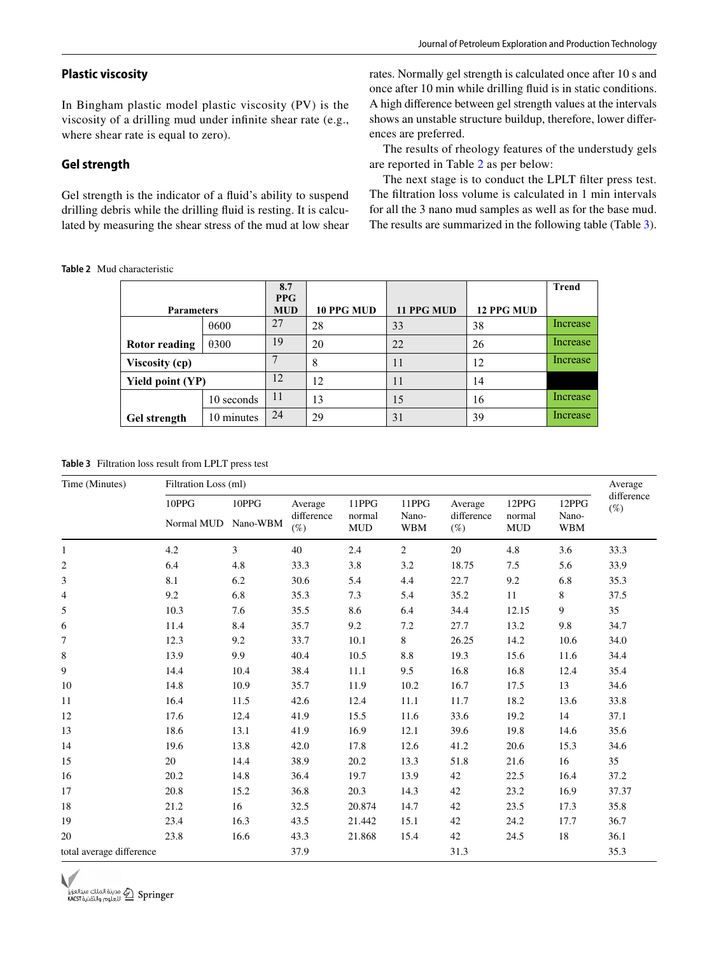# **Plastic viscosity**

In Bingham plastic model plastic viscosity (PV) is the viscosity of a drilling mud under infinite shear rate (e.g., where shear rate is equal to zero).

# **Gel strength**

Gel strength is the indicator of a fluid's ability to suspend drilling debris while the drilling fluid is resting. It is calculated by measuring the shear stress of the mud at low shear rates. Normally gel strength is calculated once after 10 s and once after 10 min while drilling fluid is in static conditions. A high difference between gel strength values at the intervals shows an unstable structure buildup, therefore, lower differences are preferred.

The results of rheology features of the understudy gels are reported in Table [2](#page-4-0) as per below:

The next stage is to conduct the LPLT filter press test. The filtration loss volume is calculated in 1 min intervals for all the 3 nano mud samples as well as for the base mud. The results are summarized in the following table (Table [3](#page-4-1)).

#### <span id="page-4-0"></span>**Table 2** Mud characteristic

|                   |              | 8.7        |            |            |                   | <b>Trend</b> |
|-------------------|--------------|------------|------------|------------|-------------------|--------------|
|                   |              | <b>PPG</b> |            |            |                   |              |
| <b>Parameters</b> |              | <b>MUD</b> | 10 PPG MUD | 11 PPG MUD | <b>12 PPG MUD</b> |              |
|                   | 0600         | 27         | 28         | 33         | 38                | Increase     |
| Rotor reading     | $\theta$ 300 | 19         | 20         | 22         | 26                | Increase     |
| Viscosity (cp)    |              |            | 8          | 11         | 12                | Increase     |
| Yield point (YP)  |              | 12         | 12         | 11         | 14                |              |
|                   | 10 seconds   | 11         | 13         | 15         | 16                | Increase     |
| Gel strength      | 10 minutes   | 24         | 29         | 31         | 39                | Increase     |

<span id="page-4-1"></span>**Table 3** Filtration loss result from LPLT press test

| Time (Minutes)           |                     | Filtration Loss (ml) |                                 |                               |                              |                                 |                               | Average                      |                      |
|--------------------------|---------------------|----------------------|---------------------------------|-------------------------------|------------------------------|---------------------------------|-------------------------------|------------------------------|----------------------|
|                          | 10PPG<br>Normal MUD | 10PPG<br>Nano-WBM    | Average<br>difference<br>$(\%)$ | 11PPG<br>normal<br><b>MUD</b> | 11PPG<br>Nano-<br><b>WBM</b> | Average<br>difference<br>$(\%)$ | 12PPG<br>normal<br><b>MUD</b> | 12PPG<br>Nano-<br><b>WBM</b> | difference<br>$(\%)$ |
|                          | 4.2                 | 3                    | 40                              | 2.4                           | 2                            | 20                              | 4.8                           | 3.6                          | 33.3                 |
| 1                        | 6.4                 | 4.8                  | 33.3                            |                               | 3.2                          | 18.75                           | 7.5                           |                              | 33.9                 |
| $\overline{c}$           |                     |                      |                                 | 3.8                           |                              |                                 |                               | 5.6                          |                      |
| 3                        | 8.1                 | 6.2                  | 30.6                            | 5.4                           | 4.4                          | 22.7                            | 9.2                           | 6.8                          | 35.3                 |
| 4                        | 9.2                 | 6.8                  | 35.3                            | 7.3                           | 5.4                          | 35.2                            | 11                            | 8                            | 37.5                 |
| 5                        | 10.3                | 7.6                  | 35.5                            | 8.6                           | 6.4                          | 34.4                            | 12.15                         | 9                            | 35                   |
| 6                        | 11.4                | 8.4                  | 35.7                            | 9.2                           | 7.2                          | 27.7                            | 13.2                          | 9.8                          | 34.7                 |
| 7                        | 12.3                | 9.2                  | 33.7                            | 10.1                          | 8                            | 26.25                           | 14.2                          | 10.6                         | 34.0                 |
| 8                        | 13.9                | 9.9                  | 40.4                            | 10.5                          | 8.8                          | 19.3                            | 15.6                          | 11.6                         | 34.4                 |
| 9                        | 14.4                | 10.4                 | 38.4                            | 11.1                          | 9.5                          | 16.8                            | 16.8                          | 12.4                         | 35.4                 |
| 10                       | 14.8                | 10.9                 | 35.7                            | 11.9                          | 10.2                         | 16.7                            | 17.5                          | 13                           | 34.6                 |
| 11                       | 16.4                | 11.5                 | 42.6                            | 12.4                          | 11.1                         | 11.7                            | 18.2                          | 13.6                         | 33.8                 |
| 12                       | 17.6                | 12.4                 | 41.9                            | 15.5                          | 11.6                         | 33.6                            | 19.2                          | 14                           | 37.1                 |
| 13                       | 18.6                | 13.1                 | 41.9                            | 16.9                          | 12.1                         | 39.6                            | 19.8                          | 14.6                         | 35.6                 |
| 14                       | 19.6                | 13.8                 | 42.0                            | 17.8                          | 12.6                         | 41.2                            | 20.6                          | 15.3                         | 34.6                 |
| 15                       | 20                  | 14.4                 | 38.9                            | 20.2                          | 13.3                         | 51.8                            | 21.6                          | 16                           | 35                   |
| 16                       | 20.2                | 14.8                 | 36.4                            | 19.7                          | 13.9                         | 42                              | 22.5                          | 16.4                         | 37.2                 |
| 17                       | 20.8                | 15.2                 | 36.8                            | 20.3                          | 14.3                         | 42                              | 23.2                          | 16.9                         | 37.37                |
| 18                       | 21.2                | 16                   | 32.5                            | 20.874                        | 14.7                         | 42                              | 23.5                          | 17.3                         | 35.8                 |
| 19                       | 23.4                | 16.3                 | 43.5                            | 21.442                        | 15.1                         | 42                              | 24.2                          | 17.7                         | 36.7                 |
| 20                       | 23.8                | 16.6                 | 43.3                            | 21.868                        | 15.4                         | 42                              | 24.5                          | 18                           | 36.1                 |
| total average difference |                     |                      | 37.9                            |                               |                              | 31.3                            |                               |                              | 35.3                 |

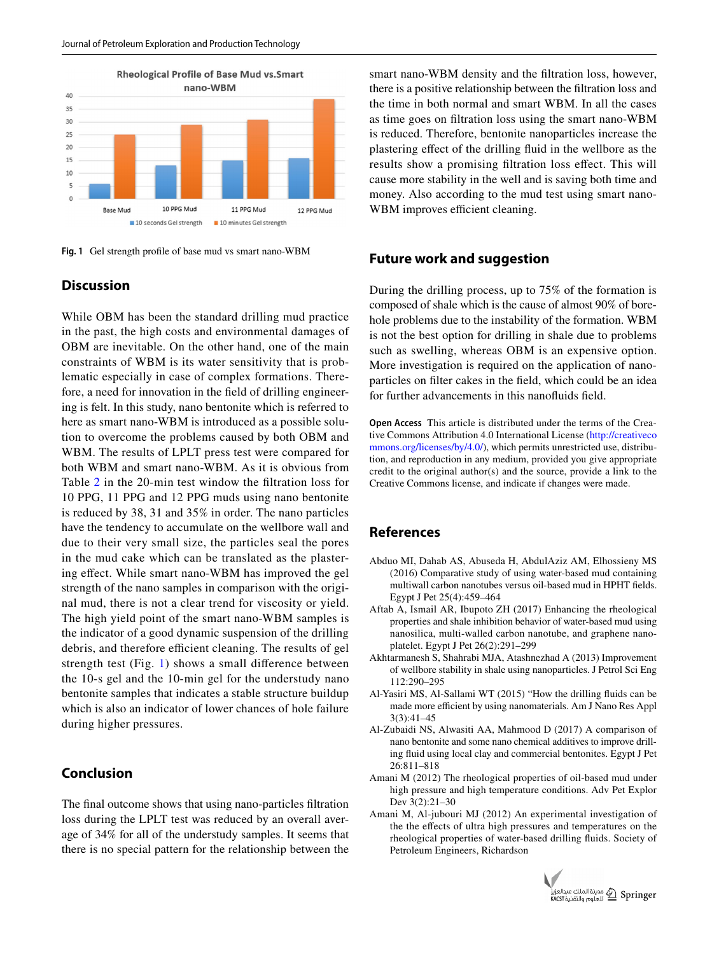

<span id="page-5-7"></span>**Fig. 1** Gel strength profile of base mud vs smart nano-WBM

# **Discussion**

While OBM has been the standard drilling mud practice in the past, the high costs and environmental damages of OBM are inevitable. On the other hand, one of the main constraints of WBM is its water sensitivity that is problematic especially in case of complex formations. Therefore, a need for innovation in the field of drilling engineering is felt. In this study, nano bentonite which is referred to here as smart nano-WBM is introduced as a possible solution to overcome the problems caused by both OBM and WBM. The results of LPLT press test were compared for both WBM and smart nano-WBM. As it is obvious from Table [2](#page-4-0) in the 20-min test window the filtration loss for 10 PPG, 11 PPG and 12 PPG muds using nano bentonite is reduced by 38, 31 and 35% in order. The nano particles have the tendency to accumulate on the wellbore wall and due to their very small size, the particles seal the pores in the mud cake which can be translated as the plastering effect. While smart nano-WBM has improved the gel strength of the nano samples in comparison with the original mud, there is not a clear trend for viscosity or yield. The high yield point of the smart nano-WBM samples is the indicator of a good dynamic suspension of the drilling debris, and therefore efficient cleaning. The results of gel strength test (Fig. [1\)](#page-5-7) shows a small difference between the 10-s gel and the 10-min gel for the understudy nano bentonite samples that indicates a stable structure buildup which is also an indicator of lower chances of hole failure during higher pressures.

# **Conclusion**

The final outcome shows that using nano-particles filtration loss during the LPLT test was reduced by an overall average of 34% for all of the understudy samples. It seems that there is no special pattern for the relationship between the smart nano-WBM density and the filtration loss, however, there is a positive relationship between the filtration loss and the time in both normal and smart WBM. In all the cases as time goes on filtration loss using the smart nano-WBM is reduced. Therefore, bentonite nanoparticles increase the plastering effect of the drilling fluid in the wellbore as the results show a promising filtration loss effect. This will cause more stability in the well and is saving both time and money. Also according to the mud test using smart nano-WBM improves efficient cleaning.

# **Future work and suggestion**

During the drilling process, up to 75% of the formation is composed of shale which is the cause of almost 90% of borehole problems due to the instability of the formation. WBM is not the best option for drilling in shale due to problems such as swelling, whereas OBM is an expensive option. More investigation is required on the application of nanoparticles on filter cakes in the field, which could be an idea for further advancements in this nanofluids field.

**Open Access** This article is distributed under the terms of the Creative Commons Attribution 4.0 International License ([http://creativeco](http://creativecommons.org/licenses/by/4.0/) [mmons.org/licenses/by/4.0/](http://creativecommons.org/licenses/by/4.0/)), which permits unrestricted use, distribution, and reproduction in any medium, provided you give appropriate credit to the original author(s) and the source, provide a link to the Creative Commons license, and indicate if changes were made.

# **References**

- <span id="page-5-4"></span>Abduo MI, Dahab AS, Abuseda H, AbdulAziz AM, Elhossieny MS (2016) Comparative study of using water-based mud containing multiwall carbon nanotubes versus oil-based mud in HPHT fields. Egypt J Pet 25(4):459–464
- <span id="page-5-0"></span>Aftab A, Ismail AR, Ibupoto ZH (2017) Enhancing the rheological properties and shale inhibition behavior of water-based mud using nanosilica, multi-walled carbon nanotube, and graphene nanoplatelet. Egypt J Pet 26(2):291–299
- <span id="page-5-3"></span>Akhtarmanesh S, Shahrabi MJA, Atashnezhad A (2013) Improvement of wellbore stability in shale using nanoparticles. J Petrol Sci Eng 112:290–295
- <span id="page-5-1"></span>Al-Yasiri MS, Al-Sallami WT (2015) "How the drilling fluids can be made more efficient by using nanomaterials. Am J Nano Res Appl 3(3):41–45
- <span id="page-5-2"></span>Al-Zubaidi NS, Alwasiti AA, Mahmood D (2017) A comparison of nano bentonite and some nano chemical additives to improve drilling fluid using local clay and commercial bentonites. Egypt J Pet 26:811–818
- <span id="page-5-5"></span>Amani M (2012) The rheological properties of oil-based mud under high pressure and high temperature conditions. Adv Pet Explor Dev 3(2):21–30
- <span id="page-5-6"></span>Amani M, Al-jubouri MJ (2012) An experimental investigation of the the effects of ultra high pressures and temperatures on the rheological properties of water-based drilling fluids. Society of Petroleum Engineers, Richardson